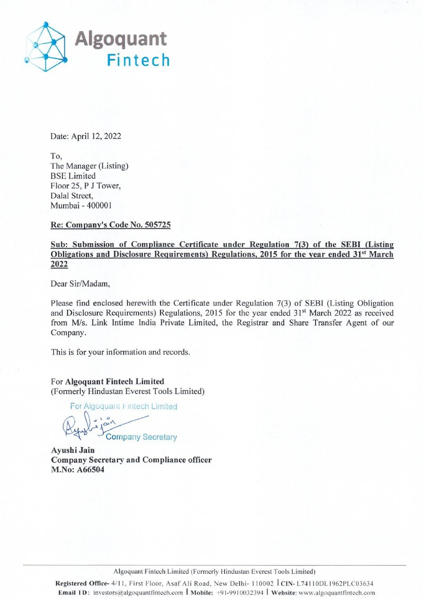

Date: April 12, 2022

To, The Manager (Listing) BSE Limited Floor 25, P J Tower, Dalal Street, Mumbai - 400001

## Re: Company's Code No. 505725

## Sub: Submission of Compliance Certificate under Regulation 7(3) of the SEBI (Listing Obligations and Disclosure Requirements) Regulations, 2015 for the year ended 31\*\* March 2022

Dear Sir/Madam,

Please find enclosed herewith the Certificate under Regulation 7(3) of SEBI (Listing Obligation and Disclosure Requirements) Regulations, 2015 for the year ended 31<sup>st</sup> March 2022 as received from M/s. Link Intime India Private Limited, the Registrar and Share Transfer Agent of our Company. Ploor 2.5, P J lower,<br>Dalal Street,<br>Mumbai - 400001<br>Re: Company's Code No. 505725<br>Sub: Submission of Compliance Certificat<br>Obligations and Disclosure Requirements) I<br>2022<br>Dear Sir/Madam,<br>Please find enclosed herewith the

This is for your information and records.

For Algoquant Fintech Limited (Formerly Hindustan Everest Tools Limited)

For Algoquani Fintech Limited

Company Secretary

Ayushi Jain Company Secretary and Compliance officer M.No: A66504

Algoquant Fintech Limited (Formerly Hindustan Everest Tools Limited)

Registered Office- 4/11, First Floor, Asaf Ali Road, New Delhi- 110002 | CIN- L74110DL1962PLC03634 Email ID: investors@algoquantfintech.com | Mobile: +91-9910032394 | Website: www.algoquantfintech.com